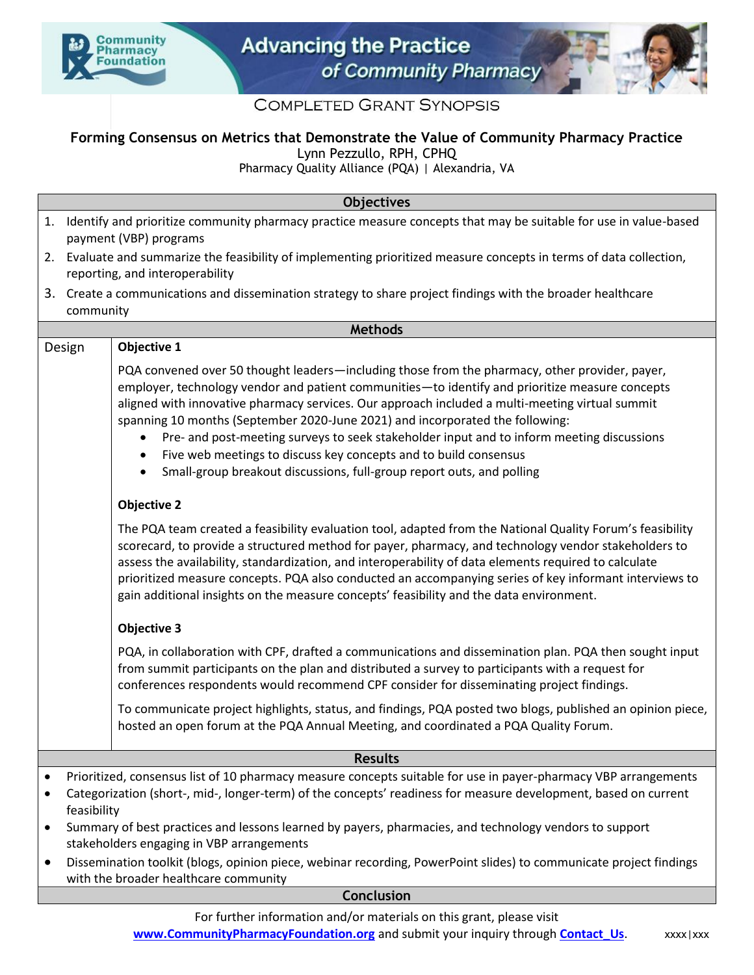



## **COMPLETED GRANT SYNOPSIS**

## **Forming Consensus on Metrics that Demonstrate the Value of Community Pharmacy Practice**

Lynn Pezzullo, RPH, CPHQ

**Objectives**

Pharmacy Quality Alliance (PQA) | Alexandria, VA

|                        |                                                                                                                                                                                                                                                                                                                                                                                                          | <b>ODJECTIVES</b>                                                                                                                                                                                                                                                                                                                                                                                                                                                                                                                                                                                                               |  |
|------------------------|----------------------------------------------------------------------------------------------------------------------------------------------------------------------------------------------------------------------------------------------------------------------------------------------------------------------------------------------------------------------------------------------------------|---------------------------------------------------------------------------------------------------------------------------------------------------------------------------------------------------------------------------------------------------------------------------------------------------------------------------------------------------------------------------------------------------------------------------------------------------------------------------------------------------------------------------------------------------------------------------------------------------------------------------------|--|
|                        | 1. Identify and prioritize community pharmacy practice measure concepts that may be suitable for use in value-based<br>payment (VBP) programs                                                                                                                                                                                                                                                            |                                                                                                                                                                                                                                                                                                                                                                                                                                                                                                                                                                                                                                 |  |
| 2.                     |                                                                                                                                                                                                                                                                                                                                                                                                          | Evaluate and summarize the feasibility of implementing prioritized measure concepts in terms of data collection,<br>reporting, and interoperability                                                                                                                                                                                                                                                                                                                                                                                                                                                                             |  |
| 3.                     | community                                                                                                                                                                                                                                                                                                                                                                                                | Create a communications and dissemination strategy to share project findings with the broader healthcare                                                                                                                                                                                                                                                                                                                                                                                                                                                                                                                        |  |
| <b>Methods</b>         |                                                                                                                                                                                                                                                                                                                                                                                                          |                                                                                                                                                                                                                                                                                                                                                                                                                                                                                                                                                                                                                                 |  |
|                        | Design                                                                                                                                                                                                                                                                                                                                                                                                   | Objective 1                                                                                                                                                                                                                                                                                                                                                                                                                                                                                                                                                                                                                     |  |
|                        |                                                                                                                                                                                                                                                                                                                                                                                                          | PQA convened over 50 thought leaders—including those from the pharmacy, other provider, payer,<br>employer, technology vendor and patient communities-to identify and prioritize measure concepts<br>aligned with innovative pharmacy services. Our approach included a multi-meeting virtual summit<br>spanning 10 months (September 2020-June 2021) and incorporated the following:<br>Pre- and post-meeting surveys to seek stakeholder input and to inform meeting discussions<br>Five web meetings to discuss key concepts and to build consensus<br>Small-group breakout discussions, full-group report outs, and polling |  |
|                        |                                                                                                                                                                                                                                                                                                                                                                                                          | <b>Objective 2</b>                                                                                                                                                                                                                                                                                                                                                                                                                                                                                                                                                                                                              |  |
|                        |                                                                                                                                                                                                                                                                                                                                                                                                          | The PQA team created a feasibility evaluation tool, adapted from the National Quality Forum's feasibility<br>scorecard, to provide a structured method for payer, pharmacy, and technology vendor stakeholders to<br>assess the availability, standardization, and interoperability of data elements required to calculate<br>prioritized measure concepts. PQA also conducted an accompanying series of key informant interviews to<br>gain additional insights on the measure concepts' feasibility and the data environment.                                                                                                 |  |
|                        |                                                                                                                                                                                                                                                                                                                                                                                                          | <b>Objective 3</b>                                                                                                                                                                                                                                                                                                                                                                                                                                                                                                                                                                                                              |  |
|                        |                                                                                                                                                                                                                                                                                                                                                                                                          | PQA, in collaboration with CPF, drafted a communications and dissemination plan. PQA then sought input<br>from summit participants on the plan and distributed a survey to participants with a request for<br>conferences respondents would recommend CPF consider for disseminating project findings.                                                                                                                                                                                                                                                                                                                          |  |
|                        |                                                                                                                                                                                                                                                                                                                                                                                                          | To communicate project highlights, status, and findings, PQA posted two blogs, published an opinion piece,<br>hosted an open forum at the PQA Annual Meeting, and coordinated a PQA Quality Forum.                                                                                                                                                                                                                                                                                                                                                                                                                              |  |
| <b>Results</b>         |                                                                                                                                                                                                                                                                                                                                                                                                          |                                                                                                                                                                                                                                                                                                                                                                                                                                                                                                                                                                                                                                 |  |
| $\bullet$<br>$\bullet$ | Prioritized, consensus list of 10 pharmacy measure concepts suitable for use in payer-pharmacy VBP arrangements<br>Categorization (short-, mid-, longer-term) of the concepts' readiness for measure development, based on current<br>feasibility<br>Summary of best practices and lessons learned by payers, pharmacies, and technology vendors to support<br>stakeholders engaging in VBP arrangements |                                                                                                                                                                                                                                                                                                                                                                                                                                                                                                                                                                                                                                 |  |
| ٠                      | Dissemination toolkit (blogs, opinion piece, webinar recording, PowerPoint slides) to communicate project findings<br>with the broader healthcare community                                                                                                                                                                                                                                              |                                                                                                                                                                                                                                                                                                                                                                                                                                                                                                                                                                                                                                 |  |
| Conclusion             |                                                                                                                                                                                                                                                                                                                                                                                                          |                                                                                                                                                                                                                                                                                                                                                                                                                                                                                                                                                                                                                                 |  |